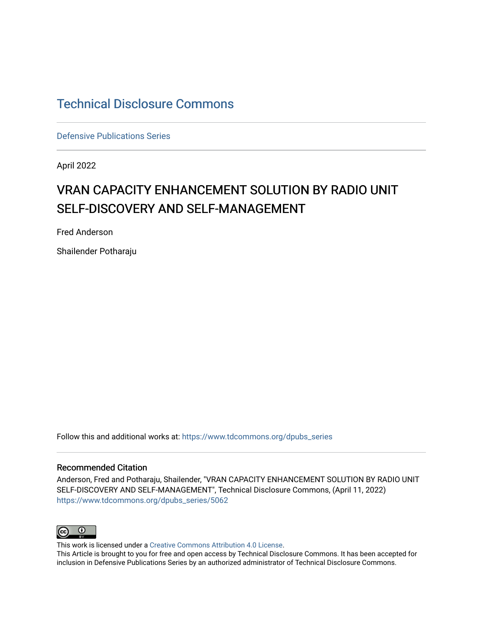## [Technical Disclosure Commons](https://www.tdcommons.org/)

[Defensive Publications Series](https://www.tdcommons.org/dpubs_series)

April 2022

# VRAN CAPACITY ENHANCEMENT SOLUTION BY RADIO UNIT SELF-DISCOVERY AND SELF-MANAGEMENT

Fred Anderson

Shailender Potharaju

Follow this and additional works at: [https://www.tdcommons.org/dpubs\\_series](https://www.tdcommons.org/dpubs_series?utm_source=www.tdcommons.org%2Fdpubs_series%2F5062&utm_medium=PDF&utm_campaign=PDFCoverPages) 

#### Recommended Citation

Anderson, Fred and Potharaju, Shailender, "VRAN CAPACITY ENHANCEMENT SOLUTION BY RADIO UNIT SELF-DISCOVERY AND SELF-MANAGEMENT", Technical Disclosure Commons, (April 11, 2022) [https://www.tdcommons.org/dpubs\\_series/5062](https://www.tdcommons.org/dpubs_series/5062?utm_source=www.tdcommons.org%2Fdpubs_series%2F5062&utm_medium=PDF&utm_campaign=PDFCoverPages)



This work is licensed under a [Creative Commons Attribution 4.0 License](http://creativecommons.org/licenses/by/4.0/deed.en_US).

This Article is brought to you for free and open access by Technical Disclosure Commons. It has been accepted for inclusion in Defensive Publications Series by an authorized administrator of Technical Disclosure Commons.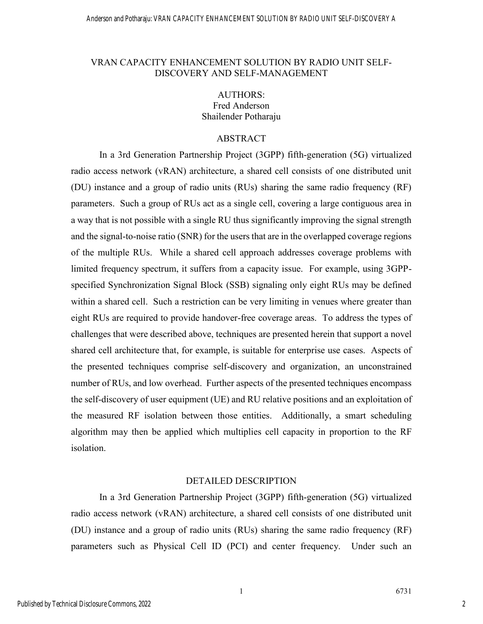#### VRAN CAPACITY ENHANCEMENT SOLUTION BY RADIO UNIT SELF-DISCOVERY AND SELF-MANAGEMENT

### AUTHORS: Fred Anderson Shailender Potharaju

#### ABSTRACT

In a 3rd Generation Partnership Project (3GPP) fifth-generation (5G) virtualized radio access network (vRAN) architecture, a shared cell consists of one distributed unit (DU) instance and a group of radio units (RUs) sharing the same radio frequency (RF) parameters. Such a group of RUs act as a single cell, covering a large contiguous area in a way that is not possible with a single RU thus significantly improving the signal strength and the signal-to-noise ratio (SNR) for the users that are in the overlapped coverage regions of the multiple RUs. While a shared cell approach addresses coverage problems with limited frequency spectrum, it suffers from a capacity issue. For example, using 3GPPspecified Synchronization Signal Block (SSB) signaling only eight RUs may be defined within a shared cell. Such a restriction can be very limiting in venues where greater than eight RUs are required to provide handover-free coverage areas. To address the types of challenges that were described above, techniques are presented herein that support a novel shared cell architecture that, for example, is suitable for enterprise use cases. Aspects of the presented techniques comprise self-discovery and organization, an unconstrained number of RUs, and low overhead. Further aspects of the presented techniques encompass the self-discovery of user equipment (UE) and RU relative positions and an exploitation of the measured RF isolation between those entities. Additionally, a smart scheduling algorithm may then be applied which multiplies cell capacity in proportion to the RF isolation.

#### DETAILED DESCRIPTION

In a 3rd Generation Partnership Project (3GPP) fifth-generation (5G) virtualized radio access network (vRAN) architecture, a shared cell consists of one distributed unit (DU) instance and a group of radio units (RUs) sharing the same radio frequency (RF) parameters such as Physical Cell ID (PCI) and center frequency. Under such an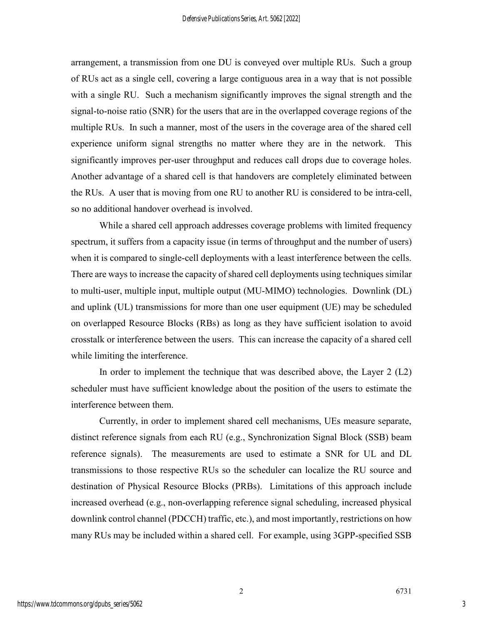arrangement, a transmission from one DU is conveyed over multiple RUs. Such a group of RUs act as a single cell, covering a large contiguous area in a way that is not possible with a single RU. Such a mechanism significantly improves the signal strength and the signal-to-noise ratio (SNR) for the users that are in the overlapped coverage regions of the multiple RUs. In such a manner, most of the users in the coverage area of the shared cell experience uniform signal strengths no matter where they are in the network. This significantly improves per-user throughput and reduces call drops due to coverage holes. Another advantage of a shared cell is that handovers are completely eliminated between the RUs. A user that is moving from one RU to another RU is considered to be intra-cell, so no additional handover overhead is involved.

While a shared cell approach addresses coverage problems with limited frequency spectrum, it suffers from a capacity issue (in terms of throughput and the number of users) when it is compared to single-cell deployments with a least interference between the cells. There are ways to increase the capacity of shared cell deployments using techniques similar to multi-user, multiple input, multiple output (MU-MIMO) technologies. Downlink (DL) and uplink (UL) transmissions for more than one user equipment (UE) may be scheduled on overlapped Resource Blocks (RBs) as long as they have sufficient isolation to avoid crosstalk or interference between the users. This can increase the capacity of a shared cell while limiting the interference.

In order to implement the technique that was described above, the Layer 2 (L2) scheduler must have sufficient knowledge about the position of the users to estimate the interference between them.

Currently, in order to implement shared cell mechanisms, UEs measure separate, distinct reference signals from each RU (e.g., Synchronization Signal Block (SSB) beam reference signals). The measurements are used to estimate a SNR for UL and DL transmissions to those respective RUs so the scheduler can localize the RU source and destination of Physical Resource Blocks (PRBs). Limitations of this approach include increased overhead (e.g., non-overlapping reference signal scheduling, increased physical downlink control channel (PDCCH) traffic, etc.), and most importantly, restrictions on how many RUs may be included within a shared cell. For example, using 3GPP-specified SSB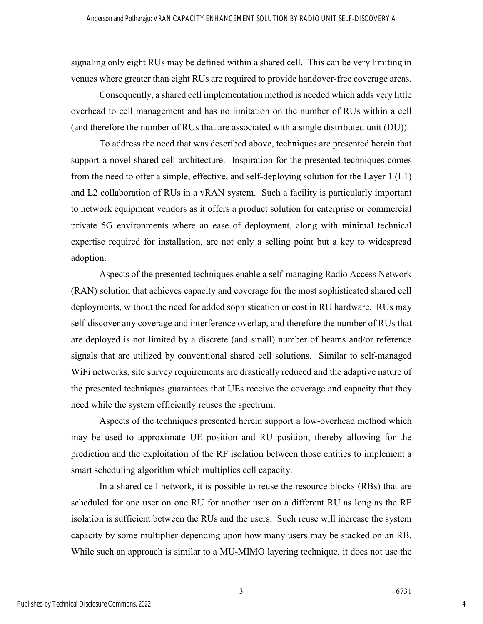signaling only eight RUs may be defined within a shared cell. This can be very limiting in venues where greater than eight RUs are required to provide handover-free coverage areas.

Consequently, a shared cell implementation method is needed which adds very little overhead to cell management and has no limitation on the number of RUs within a cell (and therefore the number of RUs that are associated with a single distributed unit (DU)).

To address the need that was described above, techniques are presented herein that support a novel shared cell architecture. Inspiration for the presented techniques comes from the need to offer a simple, effective, and self-deploying solution for the Layer 1 (L1) and L2 collaboration of RUs in a vRAN system. Such a facility is particularly important to network equipment vendors as it offers a product solution for enterprise or commercial private 5G environments where an ease of deployment, along with minimal technical expertise required for installation, are not only a selling point but a key to widespread adoption.

Aspects of the presented techniques enable a self-managing Radio Access Network (RAN) solution that achieves capacity and coverage for the most sophisticated shared cell deployments, without the need for added sophistication or cost in RU hardware. RUs may self-discover any coverage and interference overlap, and therefore the number of RUs that are deployed is not limited by a discrete (and small) number of beams and/or reference signals that are utilized by conventional shared cell solutions. Similar to self-managed WiFi networks, site survey requirements are drastically reduced and the adaptive nature of the presented techniques guarantees that UEs receive the coverage and capacity that they need while the system efficiently reuses the spectrum.

Aspects of the techniques presented herein support a low-overhead method which may be used to approximate UE position and RU position, thereby allowing for the prediction and the exploitation of the RF isolation between those entities to implement a smart scheduling algorithm which multiplies cell capacity.

In a shared cell network, it is possible to reuse the resource blocks (RBs) that are scheduled for one user on one RU for another user on a different RU as long as the RF isolation is sufficient between the RUs and the users. Such reuse will increase the system capacity by some multiplier depending upon how many users may be stacked on an RB. While such an approach is similar to a MU-MIMO layering technique, it does not use the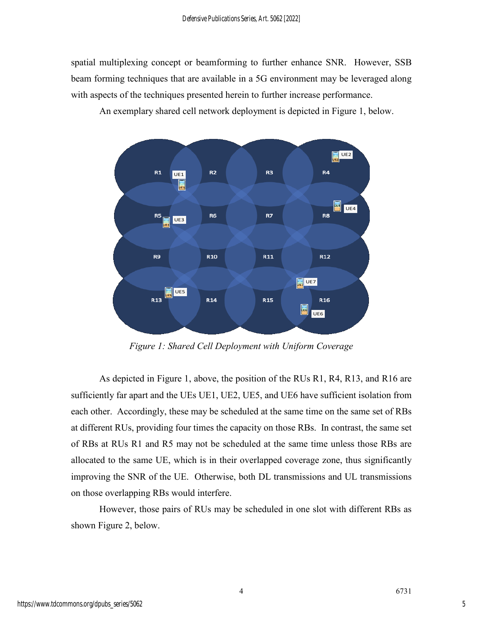spatial multiplexing concept or beamforming to further enhance SNR. However, SSB beam forming techniques that are available in a 5G environment may be leveraged along with aspects of the techniques presented herein to further increase performance.

An exemplary shared cell network deployment is depicted in Figure 1, below.



*Figure 1: Shared Cell Deployment with Uniform Coverage*

As depicted in Figure 1, above, the position of the RUs R1, R4, R13, and R16 are sufficiently far apart and the UEs UE1, UE2, UE5, and UE6 have sufficient isolation from each other. Accordingly, these may be scheduled at the same time on the same set of RBs at different RUs, providing four times the capacity on those RBs. In contrast, the same set of RBs at RUs R1 and R5 may not be scheduled at the same time unless those RBs are allocated to the same UE, which is in their overlapped coverage zone, thus significantly improving the SNR of the UE. Otherwise, both DL transmissions and UL transmissions on those overlapping RBs would interfere.

However, those pairs of RUs may be scheduled in one slot with different RBs as shown Figure 2, below.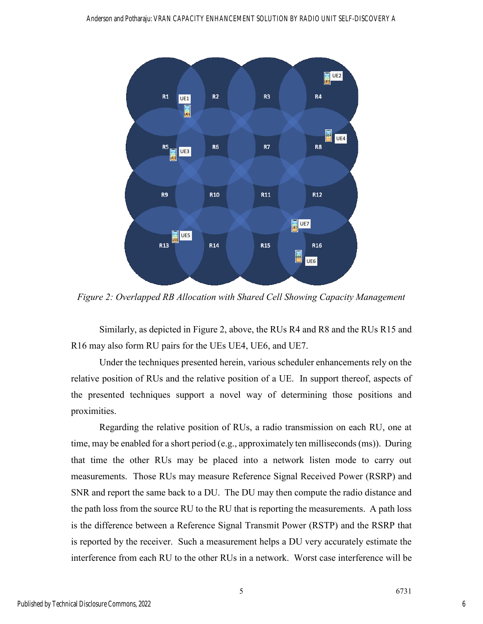

*Figure 2: Overlapped RB Allocation with Shared Cell Showing Capacity Management*

Similarly, as depicted in Figure 2, above, the RUs R4 and R8 and the RUs R15 and R16 may also form RU pairs for the UEs UE4, UE6, and UE7.

Under the techniques presented herein, various scheduler enhancements rely on the relative position of RUs and the relative position of a UE. In support thereof, aspects of the presented techniques support a novel way of determining those positions and proximities.

Regarding the relative position of RUs, a radio transmission on each RU, one at time, may be enabled for a short period (e.g., approximately ten milliseconds (ms)). During that time the other RUs may be placed into a network listen mode to carry out measurements. Those RUs may measure Reference Signal Received Power (RSRP) and SNR and report the same back to a DU. The DU may then compute the radio distance and the path loss from the source RU to the RU that is reporting the measurements. A path loss is the difference between a Reference Signal Transmit Power (RSTP) and the RSRP that is reported by the receiver. Such a measurement helps a DU very accurately estimate the interference from each RU to the other RUs in a network. Worst case interference will be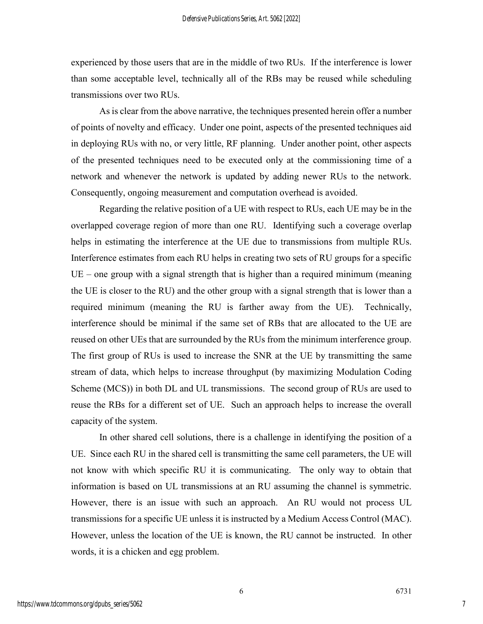experienced by those users that are in the middle of two RUs. If the interference is lower than some acceptable level, technically all of the RBs may be reused while scheduling transmissions over two RUs.

As is clear from the above narrative, the techniques presented herein offer a number of points of novelty and efficacy. Under one point, aspects of the presented techniques aid in deploying RUs with no, or very little, RF planning. Under another point, other aspects of the presented techniques need to be executed only at the commissioning time of a network and whenever the network is updated by adding newer RUs to the network. Consequently, ongoing measurement and computation overhead is avoided.

Regarding the relative position of a UE with respect to RUs, each UE may be in the overlapped coverage region of more than one RU. Identifying such a coverage overlap helps in estimating the interference at the UE due to transmissions from multiple RUs. Interference estimates from each RU helps in creating two sets of RU groups for a specific  $UE$  – one group with a signal strength that is higher than a required minimum (meaning the UE is closer to the RU) and the other group with a signal strength that is lower than a required minimum (meaning the RU is farther away from the UE). Technically, interference should be minimal if the same set of RBs that are allocated to the UE are reused on other UEs that are surrounded by the RUs from the minimum interference group. The first group of RUs is used to increase the SNR at the UE by transmitting the same stream of data, which helps to increase throughput (by maximizing Modulation Coding Scheme (MCS)) in both DL and UL transmissions. The second group of RUs are used to reuse the RBs for a different set of UE. Such an approach helps to increase the overall capacity of the system.

In other shared cell solutions, there is a challenge in identifying the position of a UE. Since each RU in the shared cell is transmitting the same cell parameters, the UE will not know with which specific RU it is communicating. The only way to obtain that information is based on UL transmissions at an RU assuming the channel is symmetric. However, there is an issue with such an approach. An RU would not process UL transmissions for a specific UE unless it is instructed by a Medium Access Control (MAC). However, unless the location of the UE is known, the RU cannot be instructed. In other words, it is a chicken and egg problem.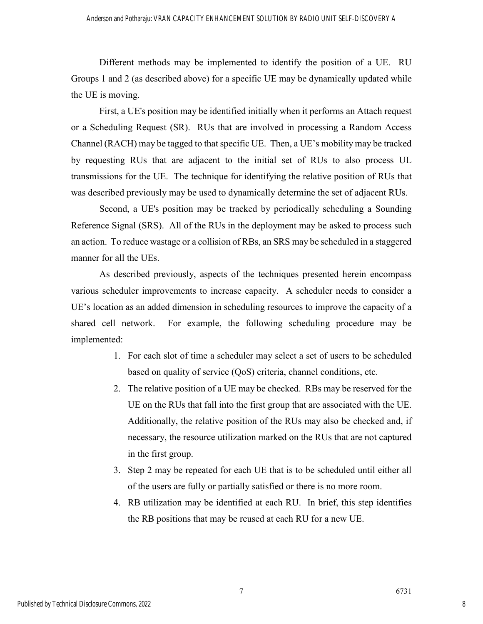Different methods may be implemented to identify the position of a UE. RU Groups 1 and 2 (as described above) for a specific UE may be dynamically updated while the UE is moving.

First, a UE's position may be identified initially when it performs an Attach request or a Scheduling Request (SR). RUs that are involved in processing a Random Access Channel (RACH) may be tagged to that specific UE. Then, a UE's mobility may be tracked by requesting RUs that are adjacent to the initial set of RUs to also process UL transmissions for the UE. The technique for identifying the relative position of RUs that was described previously may be used to dynamically determine the set of adjacent RUs.

Second, a UE's position may be tracked by periodically scheduling a Sounding Reference Signal (SRS). All of the RUs in the deployment may be asked to process such an action. To reduce wastage or a collision of RBs, an SRS may be scheduled in a staggered manner for all the UEs.

As described previously, aspects of the techniques presented herein encompass various scheduler improvements to increase capacity. A scheduler needs to consider a UE's location as an added dimension in scheduling resources to improve the capacity of a shared cell network. For example, the following scheduling procedure may be implemented:

- 1. For each slot of time a scheduler may select a set of users to be scheduled based on quality of service (QoS) criteria, channel conditions, etc.
- 2. The relative position of a UE may be checked. RBs may be reserved for the UE on the RUs that fall into the first group that are associated with the UE. Additionally, the relative position of the RUs may also be checked and, if necessary, the resource utilization marked on the RUs that are not captured in the first group.
- 3. Step 2 may be repeated for each UE that is to be scheduled until either all of the users are fully or partially satisfied or there is no more room.
- 4. RB utilization may be identified at each RU. In brief, this step identifies the RB positions that may be reused at each RU for a new UE.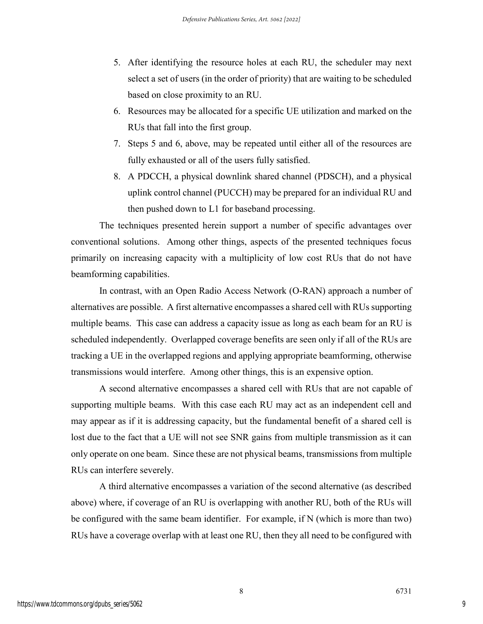- 5. After identifying the resource holes at each RU, the scheduler may next select a set of users (in the order of priority) that are waiting to be scheduled based on close proximity to an RU.
- 6. Resources may be allocated for a specific UE utilization and marked on the RUs that fall into the first group.
- 7. Steps 5 and 6, above, may be repeated until either all of the resources are fully exhausted or all of the users fully satisfied.
- 8. A PDCCH, a physical downlink shared channel (PDSCH), and a physical uplink control channel (PUCCH) may be prepared for an individual RU and then pushed down to L1 for baseband processing.

The techniques presented herein support a number of specific advantages over conventional solutions. Among other things, aspects of the presented techniques focus primarily on increasing capacity with a multiplicity of low cost RUs that do not have beamforming capabilities.

In contrast, with an Open Radio Access Network (O-RAN) approach a number of alternatives are possible. A first alternative encompasses a shared cell with RUs supporting multiple beams. This case can address a capacity issue as long as each beam for an RU is scheduled independently. Overlapped coverage benefits are seen only if all of the RUs are tracking a UE in the overlapped regions and applying appropriate beamforming, otherwise transmissions would interfere. Among other things, this is an expensive option.

A second alternative encompasses a shared cell with RUs that are not capable of supporting multiple beams. With this case each RU may act as an independent cell and may appear as if it is addressing capacity, but the fundamental benefit of a shared cell is lost due to the fact that a UE will not see SNR gains from multiple transmission as it can only operate on one beam. Since these are not physical beams, transmissions from multiple RUs can interfere severely.

A third alternative encompasses a variation of the second alternative (as described above) where, if coverage of an RU is overlapping with another RU, both of the RUs will be configured with the same beam identifier. For example, if N (which is more than two) RUs have a coverage overlap with at least one RU, then they all need to be configured with